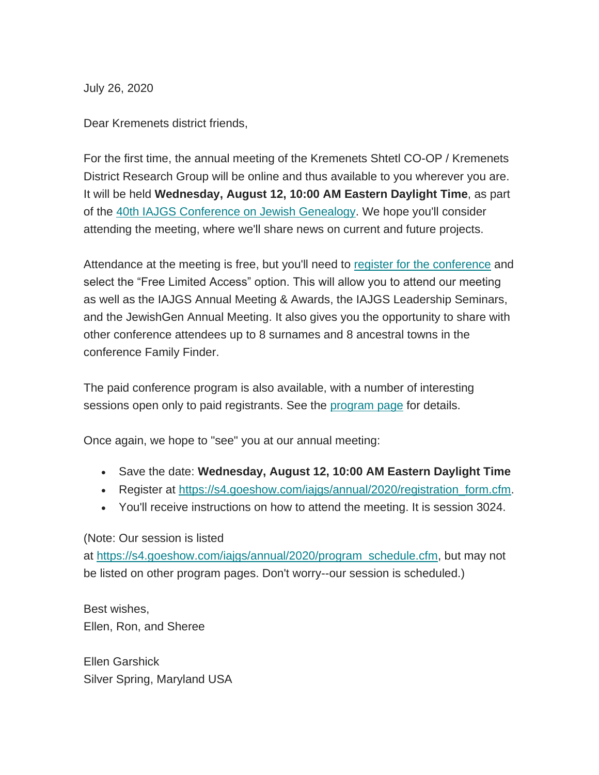July 26, 2020

Dear Kremenets district friends,

For the first time, the annual meeting of the Kremenets Shtetl CO-OP / Kremenets District Research Group will be online and thus available to you wherever you are. It will be held **Wednesday, August 12, 10:00 AM Eastern Daylight Time**, as part of the [40th IAJGS Conference on Jewish Genealogy.](https://s4.goeshow.com/iajgs/annual/2020/index.cfm) We hope you'll consider attending the meeting, where we'll share news on current and future projects.

Attendance at the meeting is free, but you'll need to [register for the conference](https://s4.goeshow.com/iajgs/annual/2020/registration_form.cfm) and select the "Free Limited Access" option. This will allow you to attend our meeting as well as the IAJGS Annual Meeting & Awards, the IAJGS Leadership Seminars, and the JewishGen Annual Meeting. It also gives you the opportunity to share with other conference attendees up to 8 surnames and 8 ancestral towns in the conference Family Finder.

The paid conference program is also available, with a number of interesting sessions open only to paid registrants. See the [program page](https://s4.goeshow.com/iajgs/annual/2020/program_schedule.cfm) for details.

Once again, we hope to "see" you at our annual meeting:

- Save the date: **Wednesday, August 12, 10:00 AM Eastern Daylight Time**
- Register at [https://s4.goeshow.com/iajgs/annual/2020/registration\\_form.cfm.](https://s4.goeshow.com/iajgs/annual/2020/registration_form.cfm)
- You'll receive instructions on how to attend the meeting. It is session 3024.

(Note: Our session is listed

at [https://s4.goeshow.com/iajgs/annual/2020/program\\_schedule.cfm,](https://s4.goeshow.com/iajgs/annual/2020/program_schedule.cfm) but may not be listed on other program pages. Don't worry--our session is scheduled.)

Best wishes, Ellen, Ron, and Sheree

Ellen Garshick Silver Spring, Maryland USA